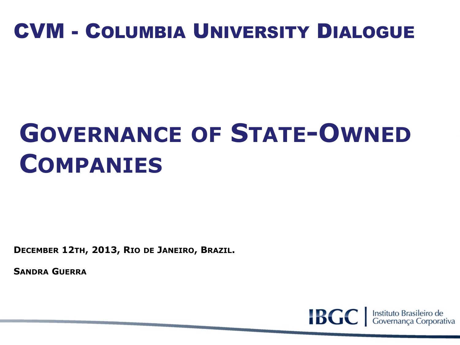# CVM - COLUMBIA UNIVERSITY DIALOGUE

# **GOVERNANCE OF STATE-OWNED COMPANIES**

**DECEMBER 12TH, 2013, RIO DE JANEIRO, BRAZIL.**

**SANDRA GUERRA**

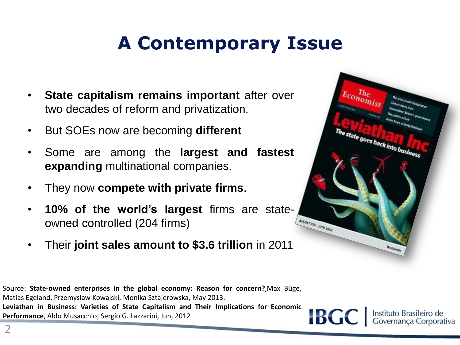# **A Contemporary Issue**

- **State capitalism remains important** after over two decades of reform and privatization.
- But SOEs now are becoming **different**
- Some are among the **largest and fastest expanding** multinational companies.
- They now **compete with private firms**.
- **10% of the world's largest** firms are stateowned controlled (204 firms)
- Their **joint sales amount to \$3.6 trillion** in 2011



Source: **State-owned enterprises in the global economy: Reason for concern?**,Max Büge, Matias Egeland, Przemyslaw Kowalski, Monika Sztajerowska, May 2013. **Leviathan in Business: Varieties of State Capitalism and Their Implications for Economic Performance**, Aldo Musacchio; Sergio G. Lazzarini, Jun, 2012

**IBGC** 

Instituto Brasileiro de<br>Governança Corporativa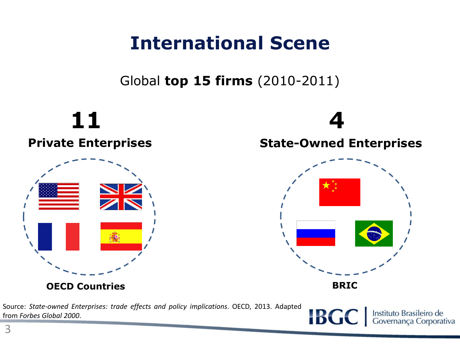#### **International Scene**

Global **top 15 firms** (2010-2011)

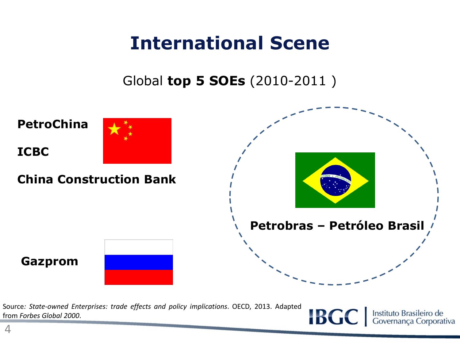#### **International Scene**

Global **top 5 SOEs** (2010-2011 )



Source*: State-owned Enterprises: trade effects and policy implications*. OECD, 2013. Adapted from *Forbes Global 2000*.

**IBGC** Instituto Brasileiro de<br>Governança Corporativa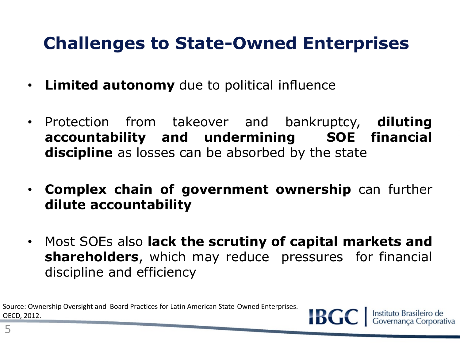#### **Challenges to State-Owned Enterprises**

- **Limited autonomy** due to political influence
- Protection from takeover and bankruptcy, **diluting accountability and undermining SOE financial discipline** as losses can be absorbed by the state
- **Complex chain of government ownership** can further **dilute accountability**
- Most SOEs also **lack the scrutiny of capital markets and shareholders**, which may reduce pressures for financial discipline and efficiency

**IBGC** 

Instituto Brasileiro de<br>Governanca Corporativa

Source: Ownership Oversight and Board Practices for Latin American State-Owned Enterprises. OECD, 2012.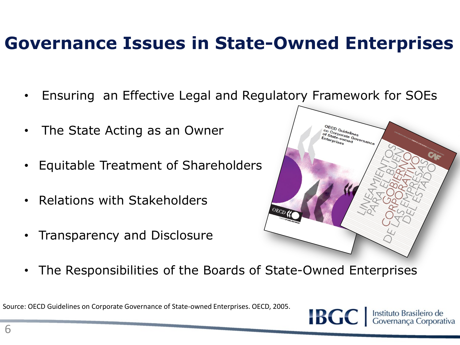#### **Governance Issues in State-Owned Enterprises**

- Ensuring an Effective Legal and Regulatory Framework for SOEs
- The State Acting as an Owner
- Equitable Treatment of Shareholders
- Relations with Stakeholders
- Transparency and Disclosure



• The Responsibilities of the Boards of State-Owned Enterprises

Source: OECD Guidelines on Corporate Governance of State-owned Enterprises. OECD, 2005.

**IBGC** Instituto Brasileiro de<br>Governanca Corporativa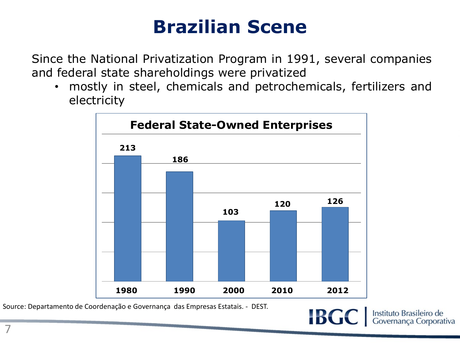## **Brazilian Scene**

Since the National Privatization Program in 1991, several companies and federal state shareholdings were privatized

• mostly in steel, chemicals and petrochemicals, fertilizers and electricity



Source: Departamento de Coordenação e Governança das Empresas Estatais. - DEST.

**IBGC**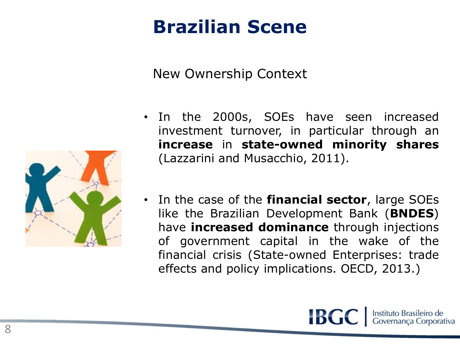## **Brazilian Scene**

New Ownership Context



- In the 2000s, SOEs have seen increased investment turnover, in particular through an **increase** in **state-owned minority shares** (Lazzarini and Musacchio, 2011).
- In the case of the **financial sector**, large SOEs like the Brazilian Development Bank (**BNDES**) have **increased dominance** through injections of government capital in the wake of the financial crisis (State-owned Enterprises: trade effects and policy implications. OECD, 2013.)

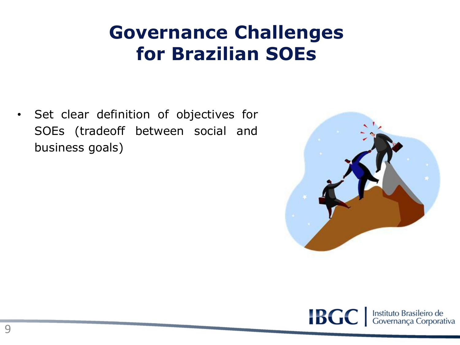## **Governance Challenges for Brazilian SOEs**

• Set clear definition of objectives for SOEs (tradeoff between social and business goals)



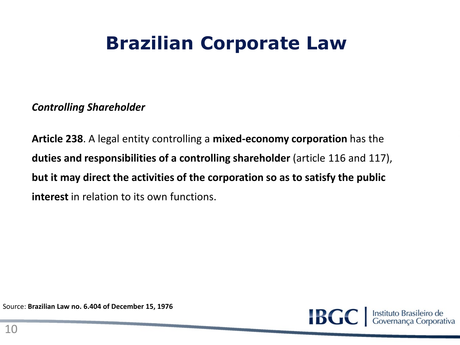## **Brazilian Corporate Law**

*Controlling Shareholder*

**Article 238**. A legal entity controlling a **mixed-economy corporation** has the **duties and responsibilities of a controlling shareholder** (article 116 and 117), **but it may direct the activities of the corporation so as to satisfy the public interest** in relation to its own functions.

Source: **Brazilian Law no. 6.404 of December 15, 1976**

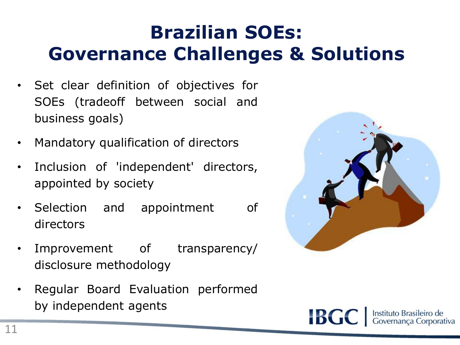# **Brazilian SOEs: Governance Challenges & Solutions**

- Set clear definition of objectives for SOEs (tradeoff between social and business goals)
- Mandatory qualification of directors
- Inclusion of 'independent' directors, appointed by society
- Selection and appointment of directors
- Improvement of transparency/ disclosure methodology
- Regular Board Evaluation performed by independent agents



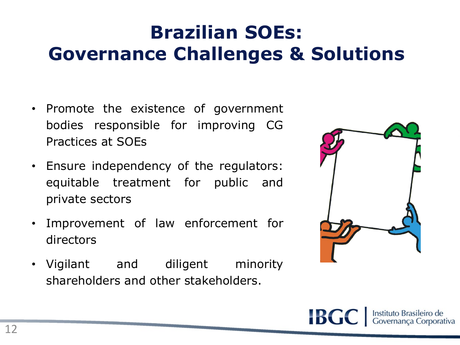# **Brazilian SOEs: Governance Challenges & Solutions**

- Promote the existence of government bodies responsible for improving CG Practices at SOEs
- Ensure independency of the regulators: equitable treatment for public and private sectors
- Improvement of law enforcement for directors
- Vigilant and diligent minority shareholders and other stakeholders.



**IBGC** Instituto Brasileiro de<br>Governança Corporativa